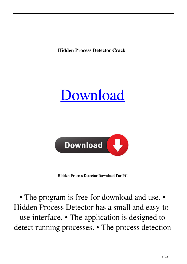**Hidden Process Detector Crack** 





**Hidden Process Detector Download For PC**

• The program is free for download and use. • Hidden Process Detector has a small and easy-touse interface. • The application is designed to detect running processes. • The process detection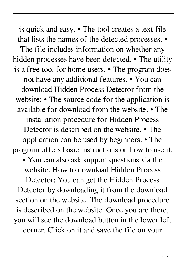is quick and easy. • The tool creates a text file that lists the names of the detected processes. • The file includes information on whether any hidden processes have been detected. • The utility is a free tool for home users. • The program does not have any additional features. • You can download Hidden Process Detector from the website: • The source code for the application is available for download from the website. • The installation procedure for Hidden Process Detector is described on the website. • The application can be used by beginners. • The program offers basic instructions on how to use it. • You can also ask support questions via the website. How to download Hidden Process Detector: You can get the Hidden Process Detector by downloading it from the download section on the website. The download procedure is described on the website. Once you are there, you will see the download button in the lower left

corner. Click on it and save the file on your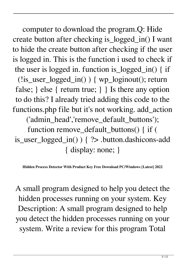computer to download the program.Q: Hide create button after checking is\_logged\_in() I want to hide the create button after checking if the user is logged in. This is the function i used to check if the user is logged in. function is\_logged\_in() { if (!is\_user\_logged\_in() ) { wp\_loginout(); return false; } else { return true; } } Is there any option to do this? I already tried adding this code to the functions.php file but it's not working. add\_action ('admin\_head','remove\_default\_buttons'); function remove\_default\_buttons() { if (

is\_user\_logged\_in() ) { ?> .button.dashicons-add { display: none; }

**Hidden Process Detector With Product Key Free Download PC/Windows [Latest] 2022**

A small program designed to help you detect the hidden processes running on your system. Key Description: A small program designed to help you detect the hidden processes running on your system. Write a review for this program Total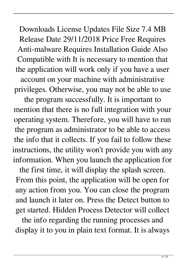Downloads License Updates File Size 7.4 MB Release Date 29/11/2018 Price Free Requires Anti-malware Requires Installation Guide Also Compatible with It is necessary to mention that the application will work only if you have a user account on your machine with administrative privileges. Otherwise, you may not be able to use

the program successfully. It is important to mention that there is no full integration with your operating system. Therefore, you will have to run the program as administrator to be able to access the info that it collects. If you fail to follow these instructions, the utility won't provide you with any information. When you launch the application for

the first time, it will display the splash screen. From this point, the application will be open for any action from you. You can close the program and launch it later on. Press the Detect button to get started. Hidden Process Detector will collect

the info regarding the running processes and display it to you in plain text format. It is always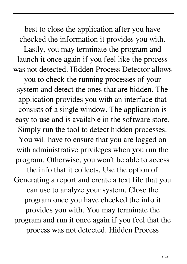best to close the application after you have checked the information it provides you with. Lastly, you may terminate the program and launch it once again if you feel like the process was not detected. Hidden Process Detector allows

you to check the running processes of your system and detect the ones that are hidden. The application provides you with an interface that consists of a single window. The application is easy to use and is available in the software store. Simply run the tool to detect hidden processes. You will have to ensure that you are logged on with administrative privileges when you run the

the info that it collects. Use the option of Generating a report and create a text file that you can use to analyze your system. Close the program once you have checked the info it provides you with. You may terminate the program and run it once again if you feel that the process was not detected. Hidden Process

program. Otherwise, you won't be able to access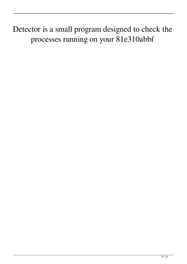Detector is a small program designed to check the processes running on your 81e310abbf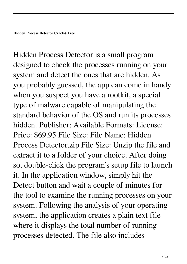Hidden Process Detector is a small program designed to check the processes running on your system and detect the ones that are hidden. As you probably guessed, the app can come in handy when you suspect you have a rootkit, a special type of malware capable of manipulating the standard behavior of the OS and run its processes hidden. Publisher: Available Formats: License: Price: \$69.95 File Size: File Name: Hidden Process Detector.zip File Size: Unzip the file and extract it to a folder of your choice. After doing so, double-click the program's setup file to launch it. In the application window, simply hit the Detect button and wait a couple of minutes for the tool to examine the running processes on your system. Following the analysis of your operating system, the application creates a plain text file where it displays the total number of running processes detected. The file also includes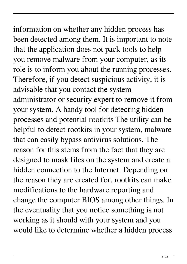information on whether any hidden process has been detected among them. It is important to note that the application does not pack tools to help you remove malware from your computer, as its role is to inform you about the running processes. Therefore, if you detect suspicious activity, it is advisable that you contact the system administrator or security expert to remove it from your system. A handy tool for detecting hidden processes and potential rootkits The utility can be helpful to detect rootkits in your system, malware that can easily bypass antivirus solutions. The reason for this stems from the fact that they are designed to mask files on the system and create a hidden connection to the Internet. Depending on the reason they are created for, rootkits can make modifications to the hardware reporting and change the computer BIOS among other things. In the eventuality that you notice something is not working as it should with your system and you would like to determine whether a hidden process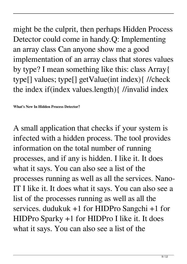$9/12$ 

might be the culprit, then perhaps Hidden Process Detector could come in handy.Q: Implementing an array class Can anyone show me a good implementation of an array class that stores values by type? I mean something like this: class Array{ type[] values; type[] getValue(int index){ //check the index if(index values.length){ //invalid index

**What's New In Hidden Process Detector?**

A small application that checks if your system is infected with a hidden process. The tool provides information on the total number of running processes, and if any is hidden. I like it. It does what it says. You can also see a list of the processes running as well as all the services. Nano-IT I like it. It does what it says. You can also see a list of the processes running as well as all the services. dudukuk +1 for HIDPro Sangchi +1 for HIDPro Sparky +1 for HIDPro I like it. It does what it says. You can also see a list of the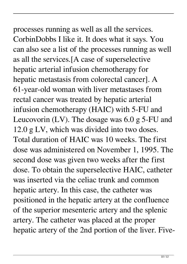processes running as well as all the services. CorbinDobbs I like it. It does what it says. You can also see a list of the processes running as well as all the services.[A case of superselective hepatic arterial infusion chemotherapy for hepatic metastasis from colorectal cancer]. A 61-year-old woman with liver metastases from rectal cancer was treated by hepatic arterial infusion chemotherapy (HAIC) with 5-FU and Leucovorin (LV). The dosage was 6.0 g 5-FU and 12.0 g LV, which was divided into two doses. Total duration of HAIC was 10 weeks. The first dose was administered on November 1, 1995. The second dose was given two weeks after the first dose. To obtain the superselective HAIC, catheter was inserted via the celiac trunk and common hepatic artery. In this case, the catheter was positioned in the hepatic artery at the confluence of the superior mesenteric artery and the splenic artery. The catheter was placed at the proper hepatic artery of the 2nd portion of the liver. Five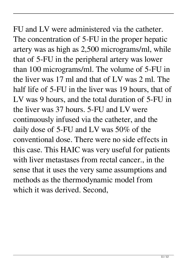FU and LV were administered via the catheter. The concentration of 5-FU in the proper hepatic artery was as high as 2,500 micrograms/ml, while that of 5-FU in the peripheral artery was lower than 100 micrograms/ml. The volume of 5-FU in the liver was 17 ml and that of LV was 2 ml. The half life of 5-FU in the liver was 19 hours, that of LV was 9 hours, and the total duration of 5-FU in the liver was 37 hours. 5-FU and LV were continuously infused via the catheter, and the daily dose of 5-FU and LV was 50% of the conventional dose. There were no side effects in this case. This HAIC was very useful for patients with liver metastases from rectal cancer., in the sense that it uses the very same assumptions and methods as the thermodynamic model from which it was derived. Second,